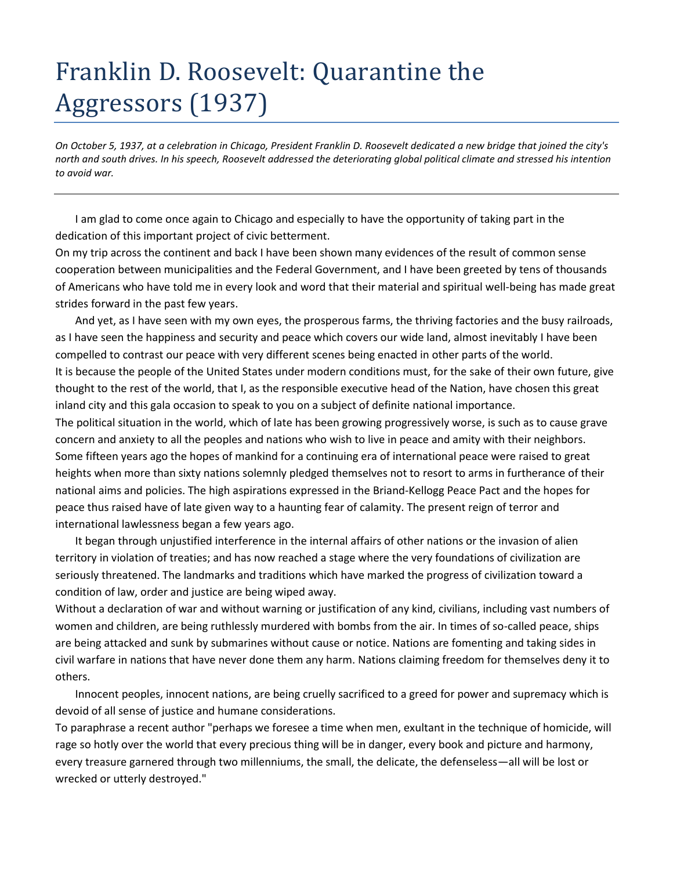## Franklin D. Roosevelt: Quarantine the Aggressors (1937)

*On October 5, 1937, at a celebration in Chicago, President Franklin D. Roosevelt dedicated a new bridge that joined the city's north and south drives. In his speech, Roosevelt addressed the deteriorating global political climate and stressed his intention to avoid war.*

I am glad to come once again to Chicago and especially to have the opportunity of taking part in the dedication of this important project of civic betterment.

On my trip across the continent and back I have been shown many evidences of the result of common sense cooperation between municipalities and the Federal Government, and I have been greeted by tens of thousands of Americans who have told me in every look and word that their material and spiritual well-being has made great strides forward in the past few years.

And yet, as I have seen with my own eyes, the prosperous farms, the thriving factories and the busy railroads, as I have seen the happiness and security and peace which covers our wide land, almost inevitably I have been compelled to contrast our peace with very different scenes being enacted in other parts of the world. It is because the people of the United States under modern conditions must, for the sake of their own future, give thought to the rest of the world, that I, as the responsible executive head of the Nation, have chosen this great inland city and this gala occasion to speak to you on a subject of definite national importance.

The political situation in the world, which of late has been growing progressively worse, is such as to cause grave concern and anxiety to all the peoples and nations who wish to live in peace and amity with their neighbors. Some fifteen years ago the hopes of mankind for a continuing era of international peace were raised to great heights when more than sixty nations solemnly pledged themselves not to resort to arms in furtherance of their national aims and policies. The high aspirations expressed in the Briand-Kellogg Peace Pact and the hopes for peace thus raised have of late given way to a haunting fear of calamity. The present reign of terror and international lawlessness began a few years ago.

It began through unjustified interference in the internal affairs of other nations or the invasion of alien territory in violation of treaties; and has now reached a stage where the very foundations of civilization are seriously threatened. The landmarks and traditions which have marked the progress of civilization toward a condition of law, order and justice are being wiped away.

Without a declaration of war and without warning or justification of any kind, civilians, including vast numbers of women and children, are being ruthlessly murdered with bombs from the air. In times of so-called peace, ships are being attacked and sunk by submarines without cause or notice. Nations are fomenting and taking sides in civil warfare in nations that have never done them any harm. Nations claiming freedom for themselves deny it to others.

Innocent peoples, innocent nations, are being cruelly sacrificed to a greed for power and supremacy which is devoid of all sense of justice and humane considerations.

To paraphrase a recent author "perhaps we foresee a time when men, exultant in the technique of homicide, will rage so hotly over the world that every precious thing will be in danger, every book and picture and harmony, every treasure garnered through two millenniums, the small, the delicate, the defenseless—all will be lost or wrecked or utterly destroyed."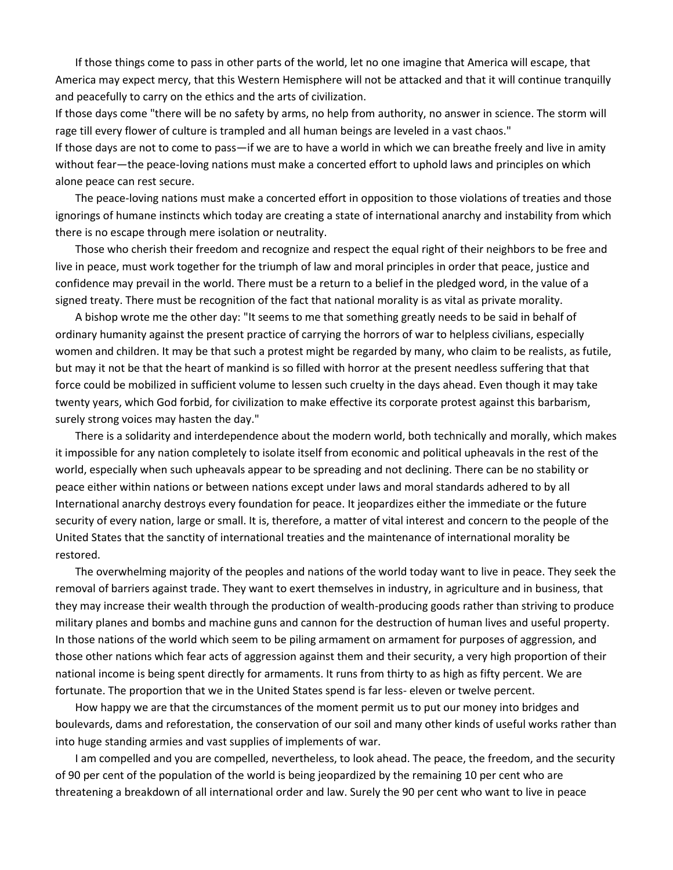If those things come to pass in other parts of the world, let no one imagine that America will escape, that America may expect mercy, that this Western Hemisphere will not be attacked and that it will continue tranquilly and peacefully to carry on the ethics and the arts of civilization.

If those days come "there will be no safety by arms, no help from authority, no answer in science. The storm will rage till every flower of culture is trampled and all human beings are leveled in a vast chaos."

If those days are not to come to pass—if we are to have a world in which we can breathe freely and live in amity without fear—the peace-loving nations must make a concerted effort to uphold laws and principles on which alone peace can rest secure.

The peace-loving nations must make a concerted effort in opposition to those violations of treaties and those ignorings of humane instincts which today are creating a state of international anarchy and instability from which there is no escape through mere isolation or neutrality.

Those who cherish their freedom and recognize and respect the equal right of their neighbors to be free and live in peace, must work together for the triumph of law and moral principles in order that peace, justice and confidence may prevail in the world. There must be a return to a belief in the pledged word, in the value of a signed treaty. There must be recognition of the fact that national morality is as vital as private morality.

A bishop wrote me the other day: "It seems to me that something greatly needs to be said in behalf of ordinary humanity against the present practice of carrying the horrors of war to helpless civilians, especially women and children. It may be that such a protest might be regarded by many, who claim to be realists, as futile, but may it not be that the heart of mankind is so filled with horror at the present needless suffering that that force could be mobilized in sufficient volume to lessen such cruelty in the days ahead. Even though it may take twenty years, which God forbid, for civilization to make effective its corporate protest against this barbarism, surely strong voices may hasten the day."

There is a solidarity and interdependence about the modern world, both technically and morally, which makes it impossible for any nation completely to isolate itself from economic and political upheavals in the rest of the world, especially when such upheavals appear to be spreading and not declining. There can be no stability or peace either within nations or between nations except under laws and moral standards adhered to by all International anarchy destroys every foundation for peace. It jeopardizes either the immediate or the future security of every nation, large or small. It is, therefore, a matter of vital interest and concern to the people of the United States that the sanctity of international treaties and the maintenance of international morality be restored.

The overwhelming majority of the peoples and nations of the world today want to live in peace. They seek the removal of barriers against trade. They want to exert themselves in industry, in agriculture and in business, that they may increase their wealth through the production of wealth-producing goods rather than striving to produce military planes and bombs and machine guns and cannon for the destruction of human lives and useful property. In those nations of the world which seem to be piling armament on armament for purposes of aggression, and those other nations which fear acts of aggression against them and their security, a very high proportion of their national income is being spent directly for armaments. It runs from thirty to as high as fifty percent. We are fortunate. The proportion that we in the United States spend is far less- eleven or twelve percent.

How happy we are that the circumstances of the moment permit us to put our money into bridges and boulevards, dams and reforestation, the conservation of our soil and many other kinds of useful works rather than into huge standing armies and vast supplies of implements of war.

I am compelled and you are compelled, nevertheless, to look ahead. The peace, the freedom, and the security of 90 per cent of the population of the world is being jeopardized by the remaining 10 per cent who are threatening a breakdown of all international order and law. Surely the 90 per cent who want to live in peace